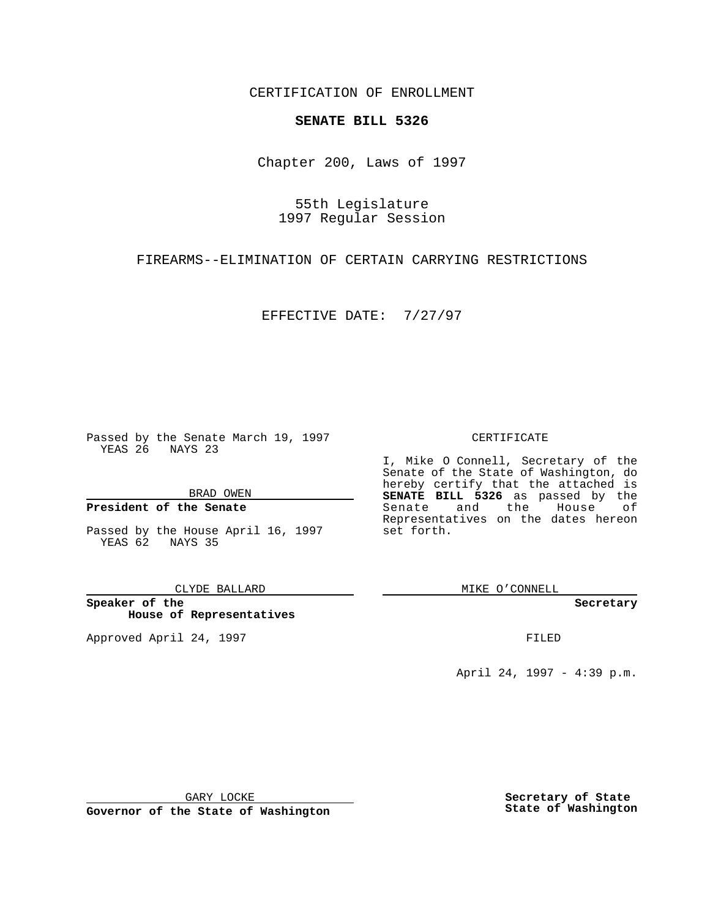CERTIFICATION OF ENROLLMENT

# **SENATE BILL 5326**

Chapter 200, Laws of 1997

55th Legislature 1997 Regular Session

FIREARMS--ELIMINATION OF CERTAIN CARRYING RESTRICTIONS

EFFECTIVE DATE: 7/27/97

Passed by the Senate March 19, 1997 YEAS 26 NAYS 23

BRAD OWEN

### **President of the Senate**

Passed by the House April 16, 1997 YEAS 62 NAYS 35

CLYDE BALLARD

**Speaker of the House of Representatives**

Approved April 24, 1997 **FILED** 

### CERTIFICATE

I, Mike O Connell, Secretary of the Senate of the State of Washington, do hereby certify that the attached is **SENATE BILL 5326** as passed by the Senate and the House of Representatives on the dates hereon set forth.

MIKE O'CONNELL

#### **Secretary**

April 24, 1997 - 4:39 p.m.

GARY LOCKE

**Governor of the State of Washington**

**Secretary of State State of Washington**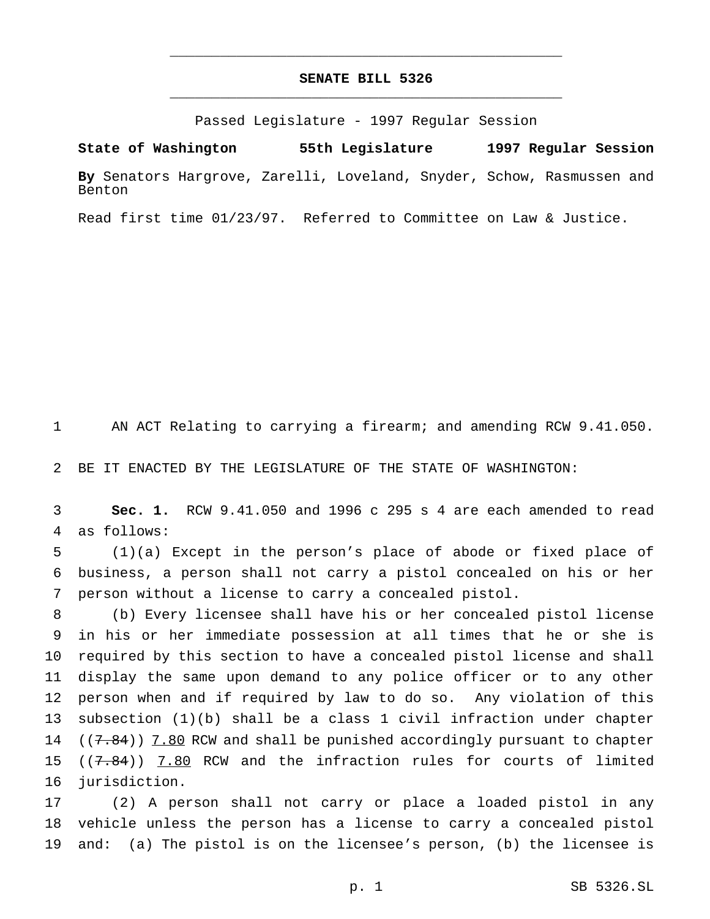## **SENATE BILL 5326** \_\_\_\_\_\_\_\_\_\_\_\_\_\_\_\_\_\_\_\_\_\_\_\_\_\_\_\_\_\_\_\_\_\_\_\_\_\_\_\_\_\_\_\_\_\_\_

\_\_\_\_\_\_\_\_\_\_\_\_\_\_\_\_\_\_\_\_\_\_\_\_\_\_\_\_\_\_\_\_\_\_\_\_\_\_\_\_\_\_\_\_\_\_\_

Passed Legislature - 1997 Regular Session

**State of Washington 55th Legislature 1997 Regular Session**

**By** Senators Hargrove, Zarelli, Loveland, Snyder, Schow, Rasmussen and Benton

Read first time 01/23/97. Referred to Committee on Law & Justice.

AN ACT Relating to carrying a firearm; and amending RCW 9.41.050.

BE IT ENACTED BY THE LEGISLATURE OF THE STATE OF WASHINGTON:

 **Sec. 1.** RCW 9.41.050 and 1996 c 295 s 4 are each amended to read as follows:

 (1)(a) Except in the person's place of abode or fixed place of business, a person shall not carry a pistol concealed on his or her person without a license to carry a concealed pistol.

 (b) Every licensee shall have his or her concealed pistol license in his or her immediate possession at all times that he or she is required by this section to have a concealed pistol license and shall display the same upon demand to any police officer or to any other person when and if required by law to do so. Any violation of this subsection (1)(b) shall be a class 1 civil infraction under chapter  $((7.84))$  7.80 RCW and shall be punished accordingly pursuant to chapter  $((7.84))$  7.80 RCW and the infraction rules for courts of limited jurisdiction.

 (2) A person shall not carry or place a loaded pistol in any vehicle unless the person has a license to carry a concealed pistol and: (a) The pistol is on the licensee's person, (b) the licensee is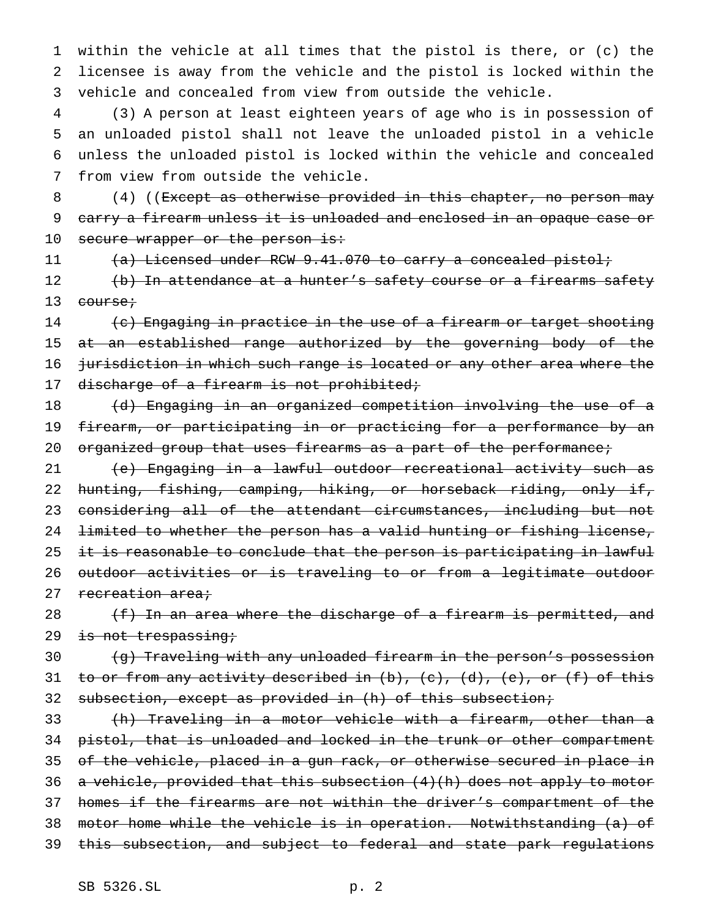1 within the vehicle at all times that the pistol is there, or (c) the 2 licensee is away from the vehicle and the pistol is locked within the 3 vehicle and concealed from view from outside the vehicle.

 (3) A person at least eighteen years of age who is in possession of an unloaded pistol shall not leave the unloaded pistol in a vehicle unless the unloaded pistol is locked within the vehicle and concealed from view from outside the vehicle.

8 (4) ((Except as otherwise provided in this chapter, no person may 9 carry a firearm unless it is unloaded and enclosed in an opaque case or 10 secure wrapper or the person is:

11 (a) Licensed under RCW 9.41.070 to carry a concealed pistol;

12 (b) In attendance at a hunter's safety course or a firearms safety 13 <del>course;</del>

14 (c) Engaging in practice in the use of a firearm or target shooting 15 at an established range authorized by the governing body of the 16 jurisdiction in which such range is located or any other area where the 17 discharge of a firearm is not prohibited;

18 (d) Engaging in an organized competition involving the use of a 19 firearm, or participating in or practicing for a performance by an 20 organized group that uses firearms as a part of the performance;

 (e) Engaging in a lawful outdoor recreational activity such as hunting, fishing, camping, hiking, or horseback riding, only if, considering all of the attendant circumstances, including but not limited to whether the person has a valid hunting or fishing license, 25 it is reasonable to conclude that the person is participating in lawful outdoor activities or is traveling to or from a legitimate outdoor 27 recreation area;

28  $(f)$  In an area where the discharge of a firearm is permitted, and 29 is not trespassing;

30 (g) Traveling with any unloaded firearm in the person's possession 31 to or from any activity described in (b), (c), (d), (e), or (f) of this 32 subsection, except as provided in (h) of this subsection;

 (h) Traveling in a motor vehicle with a firearm, other than a 34 pistol, that is unloaded and locked in the trunk or other compartment of the vehicle, placed in a gun rack, or otherwise secured in place in a vehicle, provided that this subsection (4)(h) does not apply to motor homes if the firearms are not within the driver's compartment of the motor home while the vehicle is in operation. Notwithstanding (a) of this subsection, and subject to federal and state park regulations